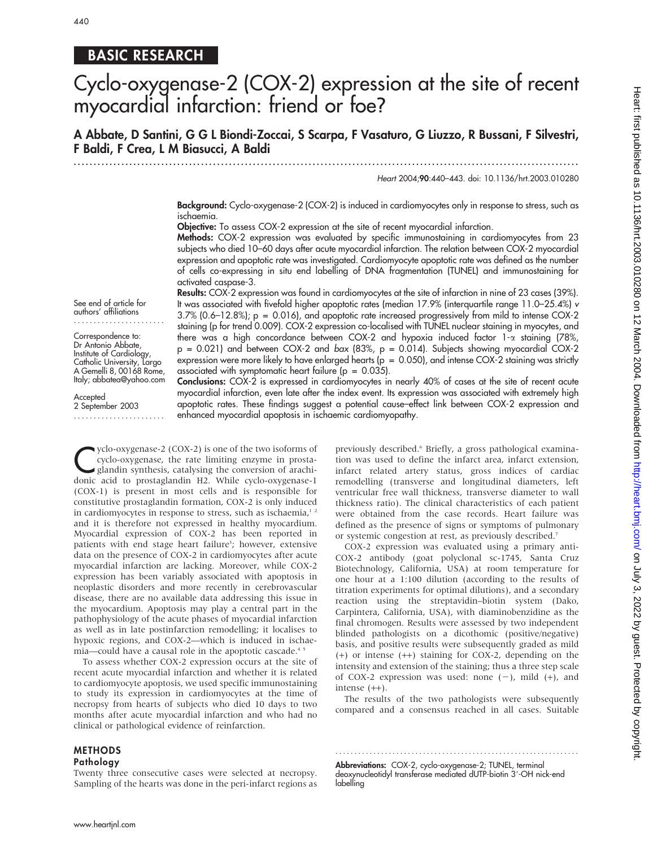440

## BASIC RESEARCH

# Cyclo-oxygenase-2 (COX-2) expression at the site of recent myocardial infarction: friend or foe?

A Abbate, D Santini, G G L Biondi-Zoccai, S Scarpa, F Vasaturo, G Liuzzo, R Bussani, F Silvestri, F Baldi, F Crea, L M Biasucci, A Baldi

.............................................................................................................................. .

Heart 2004;90:440–443. doi: 10.1136/hrt.2003.010280

Background: Cyclo-oxygenase-2 (COX-2) is induced in cardiomyocytes only in response to stress, such as ischaemia.

Objective: To assess COX-2 expression at the site of recent myocardial infarction.

Methods: COX-2 expression was evaluated by specific immunostaining in cardiomyocytes from 23 subjects who died 10–60 days after acute myocardial infarction. The relation between COX-2 myocardial expression and apoptotic rate was investigated. Cardiomyocyte apoptotic rate was defined as the number of cells co-expressing in situ end labelling of DNA fragmentation (TUNEL) and immunostaining for activated caspase-3.

Results: COX-2 expression was found in cardiomyocytes at the site of infarction in nine of 23 cases (39%). It was associated with fivefold higher apoptotic rates (median 17.9% (interquartile range 11.0–25.4%) v 3.7% (0.6–12.8%); p = 0.016), and apoptotic rate increased progressively from mild to intense COX-2 staining (p for trend 0.009). COX-2 expression co-localised with TUNEL nuclear staining in myocytes, and there was a high concordance between COX-2 and hypoxia induced factor  $1-\alpha$  staining (78%,  $p = 0.021$ ) and between COX-2 and bax (83%,  $p = 0.014$ ). Subjects showing myocardial COX-2 expression were more likely to have enlarged hearts ( $p = 0.050$ ), and intense COX-2 staining was strictly associated with symptomatic heart failure ( $p = 0.035$ ).

Conclusions: COX-2 is expressed in cardiomyocytes in nearly 40% of cases at the site of recent acute myocardial infarction, even late after the index event. Its expression was associated with extremely high apoptotic rates. These findings suggest a potential cause–effect link between COX-2 expression and enhanced myocardial apoptosis in ischaemic cardiomyopathy.

See end of article for authors' affiliations .......................

Correspondence to: Dr Antonio Abbate, Institute of Cardiology, Catholic University, Largo A Gemelli 8, 00168 Rome, Italy; abbatea@yahoo.com

**Accepted** 2 September 2003 .......................

yclo-oxygenase-2 (COX-2) is one of the two isoforms of<br>cyclo-oxygenase, the rate limiting enzyme in prosta-<br>glandin synthesis, catalysing the conversion of arachi-<br>donic acid to prostaglandin H2. While *cyclo oxygenase* cyclo-oxygenase, the rate limiting enzyme in prostaglandin synthesis, catalysing the conversion of arachidonic acid to prostaglandin H2. While cyclo-oxygenase-1 (COX-1) is present in most cells and is responsible for constitutive prostaglandin formation, COX-2 is only induced in cardiomyocytes in response to stress, such as ischaemia,<sup>12</sup> and it is therefore not expressed in healthy myocardium. Myocardial expression of COX-2 has been reported in patients with end stage heart failure<sup>3</sup>; however, extensive data on the presence of COX-2 in cardiomyocytes after acute myocardial infarction are lacking. Moreover, while COX-2 expression has been variably associated with apoptosis in neoplastic disorders and more recently in cerebrovascular disease, there are no available data addressing this issue in the myocardium. Apoptosis may play a central part in the pathophysiology of the acute phases of myocardial infarction as well as in late postinfarction remodelling; it localises to hypoxic regions, and COX-2—which is induced in ischaemia—could have a causal role in the apoptotic cascade.<sup>45</sup>

To assess whether COX-2 expression occurs at the site of recent acute myocardial infarction and whether it is related to cardiomyocyte apoptosis, we used specific immunostaining to study its expression in cardiomyocytes at the time of necropsy from hearts of subjects who died 10 days to two months after acute myocardial infarction and who had no clinical or pathological evidence of reinfarction.

#### METHODS Pathology

Twenty three consecutive cases were selected at necropsy. Sampling of the hearts was done in the peri-infarct regions as previously described.<sup>6</sup> Briefly, a gross pathological examination was used to define the infarct area, infarct extension, infarct related artery status, gross indices of cardiac remodelling (transverse and longitudinal diameters, left ventricular free wall thickness, transverse diameter to wall thickness ratio). The clinical characteristics of each patient were obtained from the case records. Heart failure was defined as the presence of signs or symptoms of pulmonary or systemic congestion at rest, as previously described.7

COX-2 expression was evaluated using a primary anti-COX-2 antibody (goat polyclonal sc-1745, Santa Cruz Biotechnology, California, USA) at room temperature for one hour at a 1:100 dilution (according to the results of titration experiments for optimal dilutions), and a secondary reaction using the streptavidin–biotin system (Dako, Carpintera, California, USA), with diaminobenzidine as the final chromogen. Results were assessed by two independent blinded pathologists on a dicothomic (positive/negative) basis, and positive results were subsequently graded as mild (+) or intense (++) staining for COX-2, depending on the intensity and extension of the staining; thus a three step scale of COX-2 expression was used: none  $(-)$ , mild  $(+)$ , and intense (++).

The results of the two pathologists were subsequently compared and a consensus reached in all cases. Suitable

Abbreviations: COX-2, cyclo-oxygenase-2; TUNEL, terminal deoxynucleotidyl transferase mediated dUTP-biotin 3'-OH nick-end labelling

............................................................... .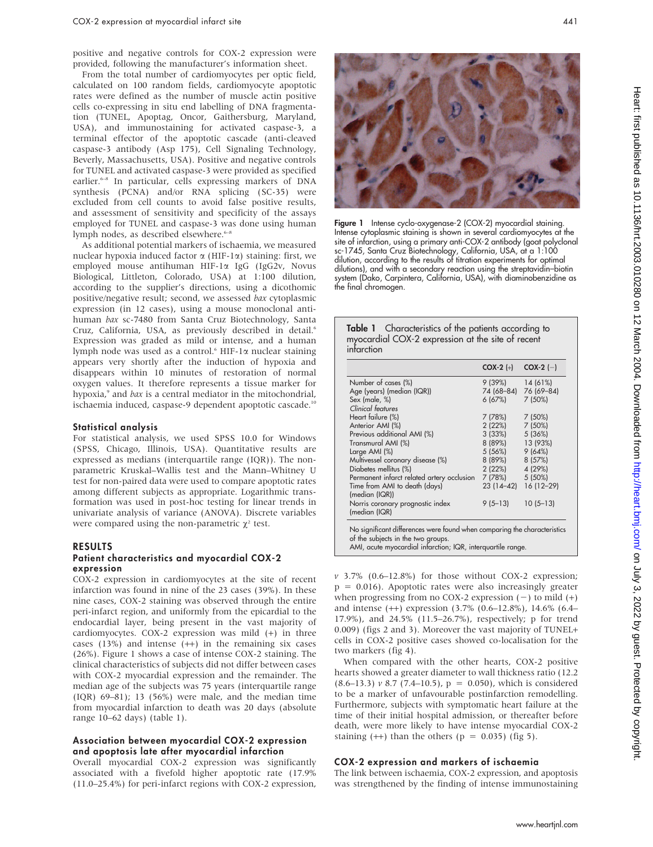positive and negative controls for COX-2 expression were provided, following the manufacturer's information sheet.

From the total number of cardiomyocytes per optic field, calculated on 100 random fields, cardiomyocyte apoptotic rates were defined as the number of muscle actin positive cells co-expressing in situ end labelling of DNA fragmentation (TUNEL, Apoptag, Oncor, Gaithersburg, Maryland, USA), and immunostaining for activated caspase-3, a terminal effector of the apoptotic cascade (anti-cleaved caspase-3 antibody (Asp 175), Cell Signaling Technology, Beverly, Massachusetts, USA). Positive and negative controls for TUNEL and activated caspase-3 were provided as specified earlier.6–8 In particular, cells expressing markers of DNA synthesis (PCNA) and/or RNA splicing (SC-35) were excluded from cell counts to avoid false positive results, and assessment of sensitivity and specificity of the assays employed for TUNEL and caspase-3 was done using human lymph nodes, as described elsewhere.<sup>6-8</sup>

As additional potential markers of ischaemia, we measured nuclear hypoxia induced factor  $\alpha$  (HIF-1 $\alpha$ ) staining: first, we employed mouse antihuman HIF-1a IgG (IgG2v, Novus Biological, Littleton, Colorado, USA) at 1:100 dilution, according to the supplier's directions, using a dicothomic positive/negative result; second, we assessed bax cytoplasmic expression (in 12 cases), using a mouse monoclonal antihuman bax sc-7480 from Santa Cruz Biotechnology, Santa Cruz, California, USA, as previously described in detail.<sup>6</sup> Expression was graded as mild or intense, and a human lymph node was used as a control. $6$  HIF-1 $\alpha$  nuclear staining appears very shortly after the induction of hypoxia and disappears within 10 minutes of restoration of normal oxygen values. It therefore represents a tissue marker for hypoxia,<sup>9</sup> and *bax* is a central mediator in the mitochondrial, ischaemia induced, caspase-9 dependent apoptotic cascade.<sup>10</sup>

#### Statistical analysis

For statistical analysis, we used SPSS 10.0 for Windows (SPSS, Chicago, Illinois, USA). Quantitative results are expressed as medians (interquartile range (IQR)). The nonparametric Kruskal–Wallis test and the Mann–Whitney U test for non-paired data were used to compare apoptotic rates among different subjects as appropriate. Logarithmic transformation was used in post-hoc testing for linear trends in univariate analysis of variance (ANOVA). Discrete variables were compared using the non-parametric  $\chi^2$  test.

#### RESULTS Patient characteristics and myocardial COX-2 expression

COX-2 expression in cardiomyocytes at the site of recent infarction was found in nine of the 23 cases (39%). In these nine cases, COX-2 staining was observed through the entire peri-infarct region, and uniformly from the epicardial to the endocardial layer, being present in the vast majority of cardiomyocytes. COX-2 expression was mild (+) in three cases  $(13%)$  and intense  $(++)$  in the remaining six cases (26%). Figure 1 shows a case of intense COX-2 staining. The clinical characteristics of subjects did not differ between cases with COX-2 myocardial expression and the remainder. The median age of the subjects was 75 years (interquartile range (IQR) 69–81); 13 (56%) were male, and the median time from myocardial infarction to death was 20 days (absolute range 10–62 days) (table 1).

#### Association between myocardial COX-2 expression and apoptosis late after myocardial infarction

Overall myocardial COX-2 expression was significantly associated with a fivefold higher apoptotic rate (17.9% (11.0–25.4%) for peri-infarct regions with COX-2 expression,



Figure 1 Intense cyclo-oxygenase-2 (COX-2) myocardial staining. Intense cytoplasmic staining is shown in several cardiomyocytes at the site of infarction, using a primary anti-COX-2 antibody (goat polyclonal sc-1745, Santa Cruz Biotechnology, California, USA, at a 1:100 dilution, according to the results of titration experiments for optimal dilutions), and with a secondary reaction using the streptavidin–biotin system (Dako, Carpintera, California, USA), with diaminobenzidine as the final chromogen.

| Table 1 Characteristics of the patients according to |
|------------------------------------------------------|
| myocardial COX-2 expression at the site of recent    |
| infarction                                           |

|                                                                                                                                                                  | $COX-2 (+)$ | $COX-2$ (-) |
|------------------------------------------------------------------------------------------------------------------------------------------------------------------|-------------|-------------|
| Number of cases (%)                                                                                                                                              | 9 (39%)     | 14 (61%)    |
| Age (years) (median (IQR))                                                                                                                                       | 74 (68–84)  | 76 (69-84)  |
| Sex (male, %)                                                                                                                                                    | 6(67%)      | 7(50%)      |
| Clinical features                                                                                                                                                |             |             |
| Heart failure (%)                                                                                                                                                | 7 (78%)     | 7(50%)      |
| Anterior AMI (%)                                                                                                                                                 | 2(22%)      | 7(50%)      |
| Previous additional AMI (%)                                                                                                                                      | 3(33%)      | 5(36%)      |
| Transmural AMI (%)                                                                                                                                               | 8 (89%)     | 13 (93%)    |
| Large AMI (%)                                                                                                                                                    | 5 (56%)     | 9(64%)      |
| Multivessel coronary disease (%)                                                                                                                                 | 8 (89%)     | 8 (57%)     |
| Diabetes mellitus (%)                                                                                                                                            | 2(22%)      | 4 (29%)     |
| Permanent infarct related artery occlusion                                                                                                                       | 7 (78%)     | $5(50\%)$   |
| Time from AMI to death (days)<br>(median (IQR))                                                                                                                  | 23 (14–42)  | 16 (12-29)  |
| Norris coronary prognostic index<br>(median (IQR)                                                                                                                | $9(5-13)$   | $10(5-13)$  |
| No significant differences were found when comparing the characteristics<br>of the subjects in the two groups.<br>$\cdots$ $\cdots$ $\cdots$ $\cdots$<br>$\cdot$ |             |             |

AMI, acute myocardial infarction; IQR, interquartile range.

 $v$  3.7% (0.6–12.8%) for those without COX-2 expression;  $p = 0.016$ ). Apoptotic rates were also increasingly greater when progressing from no COX-2 expression  $(-)$  to mild  $(+)$ and intense (++) expression (3.7% (0.6–12.8%), 14.6% (6.4– 17.9%), and 24.5% (11.5–26.7%), respectively; p for trend 0.009) (figs 2 and 3). Moreover the vast majority of TUNEL+ cells in COX-2 positive cases showed co-localisation for the two markers (fig 4).

When compared with the other hearts, COX-2 positive hearts showed a greater diameter to wall thickness ratio (12.2  $(8.6-13.3)$  v 8.7 (7.4–10.5), p = 0.050), which is considered to be a marker of unfavourable postinfarction remodelling. Furthermore, subjects with symptomatic heart failure at the time of their initial hospital admission, or thereafter before death, were more likely to have intense myocardial COX-2 staining  $(++)$  than the others  $(p = 0.035)$  (fig 5).

#### COX-2 expression and markers of ischaemia

The link between ischaemia, COX-2 expression, and apoptosis was strengthened by the finding of intense immunostaining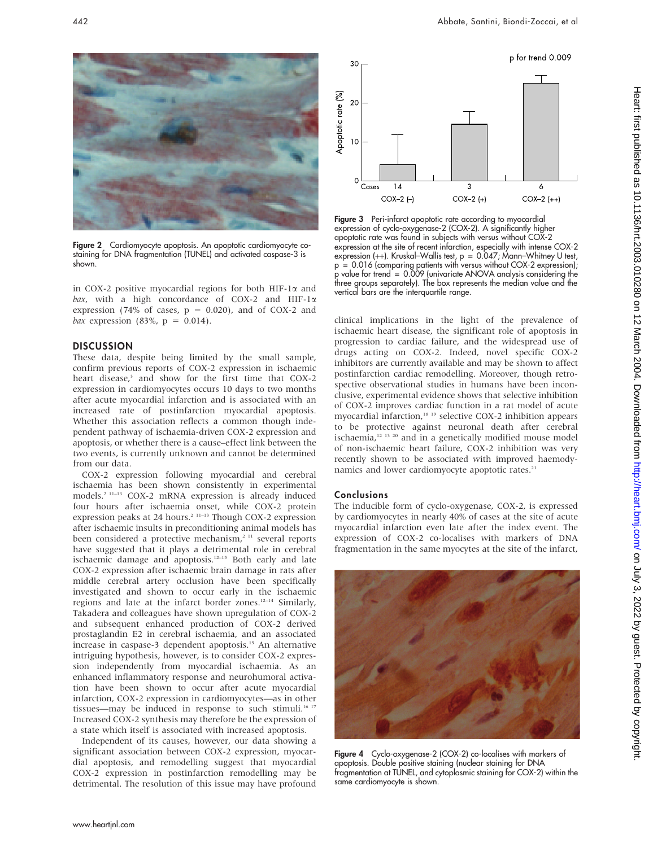

Figure 2 Cardiomyocyte apoptosis. An apoptotic cardiomyocyte costaining for DNA fragmentation (TUNEL) and activated caspase-3 is shown.

in COX-2 positive myocardial regions for both HIF-1 $\alpha$  and bax, with a high concordance of COX-2 and HIF-1 $\alpha$ expression (74% of cases,  $p = 0.020$ ), and of COX-2 and *bax* expression (83%,  $p = 0.014$ ).

#### **DISCUSSION**

These data, despite being limited by the small sample, confirm previous reports of COX-2 expression in ischaemic heart disease,<sup>3</sup> and show for the first time that COX-2 expression in cardiomyocytes occurs 10 days to two months after acute myocardial infarction and is associated with an increased rate of postinfarction myocardial apoptosis. Whether this association reflects a common though independent pathway of ischaemia-driven COX-2 expression and apoptosis, or whether there is a cause–effect link between the two events, is currently unknown and cannot be determined from our data.

COX-2 expression following myocardial and cerebral ischaemia has been shown consistently in experimental models.2 11–13 COX-2 mRNA expression is already induced four hours after ischaemia onset, while COX-2 protein expression peaks at 24 hours.<sup>2 11–13</sup> Though COX-2 expression after ischaemic insults in preconditioning animal models has been considered a protective mechanism,<sup>2 11</sup> several reports have suggested that it plays a detrimental role in cerebral ischaemic damage and apoptosis.<sup>12–15</sup> Both early and late COX-2 expression after ischaemic brain damage in rats after middle cerebral artery occlusion have been specifically investigated and shown to occur early in the ischaemic regions and late at the infarct border zones.<sup>12-14</sup> Similarly, Takadera and colleagues have shown upregulation of COX-2 and subsequent enhanced production of COX-2 derived prostaglandin E2 in cerebral ischaemia, and an associated increase in caspase-3 dependent apoptosis.<sup>15</sup> An alternative intriguing hypothesis, however, is to consider COX-2 expression independently from myocardial ischaemia. As an enhanced inflammatory response and neurohumoral activation have been shown to occur after acute myocardial infarction, COX-2 expression in cardiomyocytes—as in other tissues—may be induced in response to such stimuli.<sup>16 17</sup> Increased COX-2 synthesis may therefore be the expression of a state which itself is associated with increased apoptosis.

Independent of its causes, however, our data showing a significant association between COX-2 expression, myocardial apoptosis, and remodelling suggest that myocardial COX-2 expression in postinfarction remodelling may be detrimental. The resolution of this issue may have profound



Figure 3 Peri-infarct apoptotic rate according to myocardial expression of cyclo-oxygenase-2 (COX-2). A significantly higher apoptotic rate was found in subjects with versus without COX-2 expression at the site of recent infarction, especially with intense COX-2 expression (++). Kruskal–Wallis test, p = 0.047; Mann–Whitney U test, p = 0.016 (comparing patients with versus without COX-2 expression); p value for trend = 0.009 (univariate ANOVA analysis considering the three groups separately). The box represents the median value and the vertical bars are the interquartile range.

clinical implications in the light of the prevalence of ischaemic heart disease, the significant role of apoptosis in progression to cardiac failure, and the widespread use of drugs acting on COX-2. Indeed, novel specific COX-2 inhibitors are currently available and may be shown to affect postinfarction cardiac remodelling. Moreover, though retrospective observational studies in humans have been inconclusive, experimental evidence shows that selective inhibition of COX-2 improves cardiac function in a rat model of acute myocardial infarction,<sup>18</sup> <sup>19</sup> selective COX-2 inhibition appears to be protective against neuronal death after cerebral ischaemia, $12 \times 13 \times 20$  and in a genetically modified mouse model of non-ischaemic heart failure, COX-2 inhibition was very recently shown to be associated with improved haemodynamics and lower cardiomyocyte apoptotic rates.<sup>21</sup>

#### Conclusions

The inducible form of cyclo-oxygenase, COX-2, is expressed by cardiomyocytes in nearly 40% of cases at the site of acute myocardial infarction even late after the index event. The expression of COX-2 co-localises with markers of DNA fragmentation in the same myocytes at the site of the infarct,



Figure 4 Cyclo-oxygenase-2 (COX-2) co-localises with markers of apoptosis. Double positive staining (nuclear staining for DNA fragmentation at TUNEL, and cytoplasmic staining for COX-2) within the same cardiomyocyte is shown.